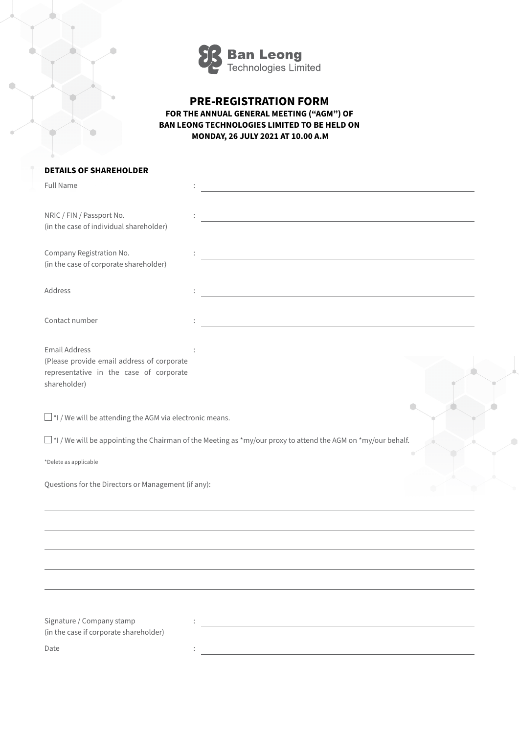

## **PRE-REGISTRATION FORM FOR THE ANNUAL GENERAL MEETING ("AGM") OF BAN LEONG TECHNOLOGIES LIMITED TO BE HELD ON MONDAY, 26 JULY 2021 AT 10.00 A.M**

## **DETAILS OF SHAREHOLDER**

| <b>Full Name</b>                                                                                                                                                                         |                                                                            |
|------------------------------------------------------------------------------------------------------------------------------------------------------------------------------------------|----------------------------------------------------------------------------|
| NRIC / FIN / Passport No.<br>(in the case of individual shareholder)                                                                                                                     | the control of the control of the control of the control of the control of |
| Company Registration No.<br>(in the case of corporate shareholder)                                                                                                                       |                                                                            |
| Address                                                                                                                                                                                  | <u> 1980 - Johann Stein, fransk politik (f. 1980)</u>                      |
| Contact number                                                                                                                                                                           | <u> 1980 - Johann Barbara, martxa alemaniar amerikan a</u>                 |
| <b>Email Address</b><br>(Please provide email address of corporate<br>representative in the case of corporate<br>shareholder)                                                            |                                                                            |
| $\Box$ *I / We will be attending the AGM via electronic means.<br>$\square$ *I / We will be appointing the Chairman of the Meeting as *my/our proxy to attend the AGM on *my/our behalf. |                                                                            |
| *Delete as applicable                                                                                                                                                                    |                                                                            |
| Questions for the Directors or Management (if any):                                                                                                                                      |                                                                            |
|                                                                                                                                                                                          |                                                                            |
|                                                                                                                                                                                          |                                                                            |
|                                                                                                                                                                                          |                                                                            |
|                                                                                                                                                                                          |                                                                            |
| Signature / Company stamp<br>(in the case if corporate shareholder)                                                                                                                      |                                                                            |
| Date                                                                                                                                                                                     |                                                                            |